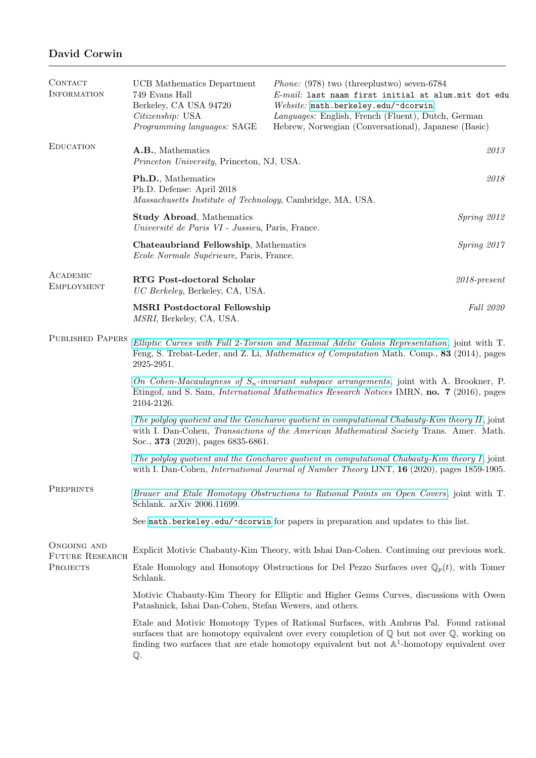## David Corwin

| CONTACT<br><b>INFORMATION</b>                     | UCB Mathematics Department<br>749 Evans Hall<br>Berkeley, CA USA 94720<br>Citizenship: USA<br>Programming languages: SAGE                                                                                                                                                                                                    | <i>Phone:</i> (978) two (threeplustwo) seven-6784<br>E-mail: last naam first initial at alum.mit dot edu<br>Website: math.berkeley.edu/~dcorwin<br>Languages: English, French (Fluent), Dutch, German<br>Hebrew, Norwegian (Conversational), Japanese (Basic) |                 |  |
|---------------------------------------------------|------------------------------------------------------------------------------------------------------------------------------------------------------------------------------------------------------------------------------------------------------------------------------------------------------------------------------|---------------------------------------------------------------------------------------------------------------------------------------------------------------------------------------------------------------------------------------------------------------|-----------------|--|
| <b>EDUCATION</b>                                  | A.B., Mathematics<br>Princeton University, Princeton, NJ, USA.                                                                                                                                                                                                                                                               |                                                                                                                                                                                                                                                               | $\it 2013$      |  |
|                                                   | Ph.D., Mathematics<br>Ph.D. Defense: April 2018<br>Massachusetts Institute of Technology, Cambridge, MA, USA.                                                                                                                                                                                                                |                                                                                                                                                                                                                                                               | 2018            |  |
|                                                   | Spring 2012<br><b>Study Abroad, Mathematics</b><br>Université de Paris VI - Jussieu, Paris, France.                                                                                                                                                                                                                          |                                                                                                                                                                                                                                                               |                 |  |
|                                                   | Chateaubriand Fellowship, Mathematics<br>Ecole Normale Supérieure, Paris, France.                                                                                                                                                                                                                                            |                                                                                                                                                                                                                                                               | Spring 2017     |  |
| ACADEMIC<br><b>EMPLOYMENT</b>                     | RTG Post-doctoral Scholar<br>UC Berkeley, Berkeley, CA, USA.                                                                                                                                                                                                                                                                 |                                                                                                                                                                                                                                                               | $2018$ -present |  |
|                                                   | <b>MSRI</b> Postdoctoral Fellowship<br>MSRI, Berkeley, CA, USA.                                                                                                                                                                                                                                                              |                                                                                                                                                                                                                                                               | Fall 2020       |  |
| <b>PUBLISHED PAPERS</b>                           | Elliptic Curves with Full 2-Torsion and Maximal Adelic Galois Representation, joint with T.<br>Feng, S. Trebat-Leder, and Z. Li, Mathematics of Computation Math. Comp., 83 (2014), pages<br>2925-2951.                                                                                                                      |                                                                                                                                                                                                                                                               |                 |  |
|                                                   | On Cohen-Macaulayness of $S_n$ -invariant subspace arrangements, joint with A. Brookner, P.<br>Etingof, and S. Sam, <i>International Mathematics Research Notices</i> IMRN, <b>no. 7</b> (2016), pages<br>2104-2126.                                                                                                         |                                                                                                                                                                                                                                                               |                 |  |
|                                                   | The polylog quotient and the Goncharov quotient in computational Chabauty-Kim theory $II$ , joint<br>with I. Dan-Cohen, Transactions of the American Mathematical Society Trans. Amer. Math.<br>Soc., 373 (2020), pages 6835-6861.                                                                                           |                                                                                                                                                                                                                                                               |                 |  |
|                                                   | The polylog quotient and the Goncharov quotient in computational Chabauty-Kim theory $I$ , joint<br>with I. Dan-Cohen, <i>International Journal of Number Theory</i> IJNT, <b>16</b> (2020), pages 1859-1905.                                                                                                                |                                                                                                                                                                                                                                                               |                 |  |
| PREPRINTS                                         | Brauer and Etale Homotopy Obstructions to Rational Points on Open Covers, joint with T.<br>Schlank. arXiv 2006.11699.                                                                                                                                                                                                        |                                                                                                                                                                                                                                                               |                 |  |
|                                                   |                                                                                                                                                                                                                                                                                                                              | See math.berkeley.edu/~dcorwin for papers in preparation and updates to this list.                                                                                                                                                                            |                 |  |
| ONGOING AND<br>FUTURE RESEARCH<br><b>PROJECTS</b> |                                                                                                                                                                                                                                                                                                                              | Explicit Motivic Chabauty-Kim Theory, with Ishai Dan-Cohen. Continuing our previous work.                                                                                                                                                                     |                 |  |
|                                                   | Etale Homology and Homotopy Obstructions for Del Pezzo Surfaces over $\mathbb{Q}_p(t)$ , with Tomer<br>Schlank.                                                                                                                                                                                                              |                                                                                                                                                                                                                                                               |                 |  |
|                                                   | Motivic Chabauty-Kim Theory for Elliptic and Higher Genus Curves, discussions with Owen<br>Patashnick, Ishai Dan-Cohen, Stefan Wewers, and others.                                                                                                                                                                           |                                                                                                                                                                                                                                                               |                 |  |
|                                                   | Etale and Motivic Homotopy Types of Rational Surfaces, with Ambrus Pal. Found rational<br>surfaces that are homotopy equivalent over every completion of $\mathbb Q$ but not over $\mathbb Q$ , working on<br>finding two surfaces that are etale homotopy equivalent but not $\mathbb{A}^1$ -homotopy equivalent over<br>Q. |                                                                                                                                                                                                                                                               |                 |  |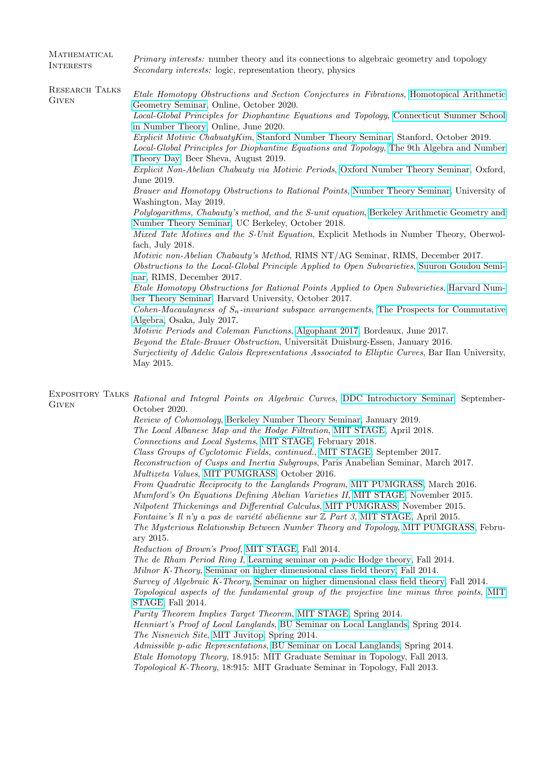| MATHEMATICAL<br><b>INTERESTS</b>        | <i>Primary interests:</i> number theory and its connections to algebraic geometry and topology<br><i>Secondary interests:</i> logic, representation theory, physics                                                                                                                                                                                                                                                                                                                                                                                                                                                                                                                                                                                                                                                                                                                                                                                                                                                                                                                                                                                                                                                                                                                                                                                                                                                                                                                                                                                                                                                                                                                                                                                                                                 |  |  |
|-----------------------------------------|-----------------------------------------------------------------------------------------------------------------------------------------------------------------------------------------------------------------------------------------------------------------------------------------------------------------------------------------------------------------------------------------------------------------------------------------------------------------------------------------------------------------------------------------------------------------------------------------------------------------------------------------------------------------------------------------------------------------------------------------------------------------------------------------------------------------------------------------------------------------------------------------------------------------------------------------------------------------------------------------------------------------------------------------------------------------------------------------------------------------------------------------------------------------------------------------------------------------------------------------------------------------------------------------------------------------------------------------------------------------------------------------------------------------------------------------------------------------------------------------------------------------------------------------------------------------------------------------------------------------------------------------------------------------------------------------------------------------------------------------------------------------------------------------------------|--|--|
| RESEARCH TALKS<br>GIVEN                 | Etale Homotopy Obstructions and Section Conjectures in Fibrations, Homotopical Arithmetic<br>Geometry Seminar, Online, October 2020.<br>Local-Global Principles for Diophantine Equations and Topology, Connecticut Summer School<br>in Number Theory, Online, June 2020.<br>Explicit Motivic ChabuatyKim, Stanford Number Theory Seminar, Stanford, October 2019.<br>Local-Global Principles for Diophantine Equations and Topology, The 9th Algebra and Number<br>Theory Day, Beer Sheva, August 2019.<br>Explicit Non-Abelian Chabauty via Motivic Periods, Oxford Number Theory Seminar, Oxford,<br>June 2019.<br>Brauer and Homotopy Obstructions to Rational Points, Number Theory Seminar, University of<br>Washington, May 2019.<br>Polylogarithms, Chabauty's method, and the S-unit equation, Berkeley Arithmetic Geometry and<br>Number Theory Seminar, UC Berkeley, October 2018.<br>Mixed Tate Motives and the S-Unit Equation, Explicit Methods in Number Theory, Oberwol-<br>fach, July 2018.<br>Motivic non-Abelian Chabauty's Method, RIMS NT/AG Seminar, RIMS, December 2017.<br>Obstructions to the Local-Global Principle Applied to Open Subvarieties, Suuron Goudou Semi-<br>nar, RIMS, December 2017.<br>Etale Homotopy Obstructions for Rational Points Applied to Open Subvarieties, Harvard Num-<br>ber Theory Seminar, Harvard University, October 2017.<br>Cohen-Macaulayness of $S_n$ -invariant subspace arrangements, The Prospects for Commutative<br>Algebra, Osaka, July 2017.<br>Motivic Periods and Coleman Functions, Algophant 2017, Bordeaux, June 2017.<br>Beyond the Etale-Brauer Obstruction, Universität Duisburg-Essen, January 2016.<br>Surjectivity of Adelic Galois Representations Associated to Elliptic Curves, Bar Ilan University,<br>May 2015. |  |  |
| <b>EXPOSITORY TALKS</b><br><b>GIVEN</b> | Rational and Integral Points on Algebraic Curves, DDC Introductory Seminar, September-<br>October 2020.<br>Review of Cohomology, Berkeley Number Theory Seminar, January 2019.<br>The Local Albanese Map and the Hodge Filtration, MIT STAGE, April 2018.                                                                                                                                                                                                                                                                                                                                                                                                                                                                                                                                                                                                                                                                                                                                                                                                                                                                                                                                                                                                                                                                                                                                                                                                                                                                                                                                                                                                                                                                                                                                           |  |  |

Connections and Local Systems, [MIT STAGE,](http://math.mit.edu/nt/old/stage_s18.html) February 2018.

Class Groups of Cyclotomic Fields, continued., [MIT STAGE,](http://math.mit.edu/nt/old/stage_f17.html) September 2017. Reconstruction of Cusps and Inertia Subgroups, Paris Anabelian Seminar, March 2017.

Multizeta Values, [MIT PUMGRASS,](http://math.mit.edu/seminars/pumagrass/) October 2016.

From Quadratic Reciprocity to the Langlands Program, [MIT PUMGRASS,](http://math.mit.edu/seminars/pumagrass/) March 2016.

Mumford's On Equations Defining Abelian Varieties II, [MIT STAGE,](http://math.mit.edu/nt/old/stage_f15.html) November 2015.

Nilpotent Thickenings and Differential Calculus, [MIT PUMGRASS,](http://math.mit.edu/seminars/pumagrass/) November 2015.

Fontaine's Il n'y a pas de variété abélienne sur  $\mathbb Z$  Part 3, [MIT STAGE,](http://math.mit.edu/nt/old/stage_s15.html) April 2015.

The Mysterious Relationship Between Number Theory and Topology, [MIT PUMGRASS,](http://math.mit.edu/seminars/pumagrass/) February 2015.

Reduction of Brown's Proof, [MIT STAGE,](http://math.mit.edu/nt/old/stage_f14.html) Fall 2014.

The de Rham Period Ring I, [Learning seminar on](http://math.bu.edu/people/bergdall/seminars/padic-hodge-seminar.html) p-adic Hodge theory, Fall 2014. Milnor K-Theory, [Seminar on higher dimensional class field theory,](http://math.harvard.edu/~yihang/HDCFTSeminar.html) Fall 2014. Survey of Algebraic K-Theory, [Seminar on higher dimensional class field theory,](http://math.harvard.edu/~yihang/HDCFTSeminar.html) Fall 2014. Topological aspects of the fundamental group of the projective line minus three points, [MIT](http://math.mit.edu/nt/stage.html) [STAGE,](http://math.mit.edu/nt/stage.html) Fall 2014. Purity Theorem Implies Target Theorem, [MIT STAGE,](http://math.mit.edu/nt/old/stage_s14.html) Spring 2014. Henniart's Proof of Local Langlands, [BU Seminar on Local Langlands,](http://math.bu.edu/people/bergdall/seminars/llc-seminar.html) Spring 2014.

The Nisnevich Site, [MIT Juvitop,](http://math.mit.edu/~sglasman/juvitop.html) Spring 2014.

Admissible p-adic Representations, [BU Seminar on Local Langlands,](http://math.bu.edu/people/bergdall/seminars/llc-seminar.html) Spring 2014. Etale Homotopy Theory, 18.915: MIT Graduate Seminar in Topology, Fall 2013. Topological K-Theory, 18:915: MIT Graduate Seminar in Topology, Fall 2013.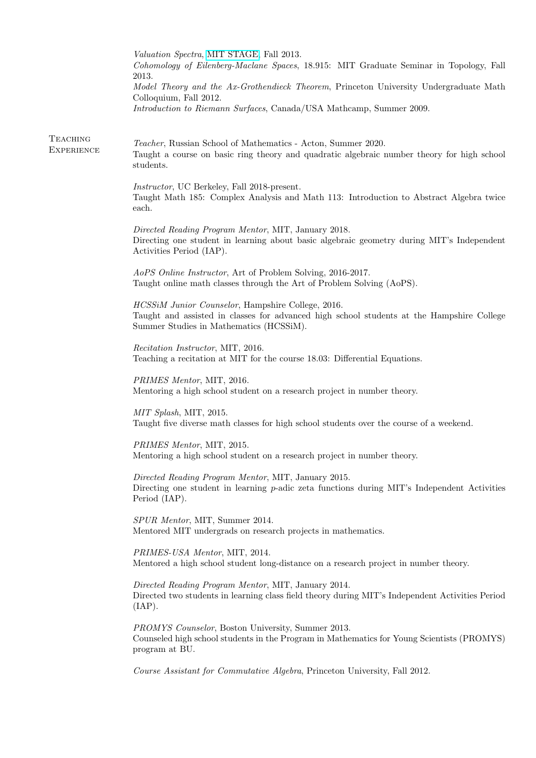|                                      | Valuation Spectra, MIT STAGE, Fall 2013.<br>Cohomology of Eilenberg-Maclane Spaces, 18.915: MIT Graduate Seminar in Topology, Fall<br>2013.<br>Model Theory and the Ax-Grothendieck Theorem, Princeton University Undergraduate Math<br>Colloquium, Fall 2012.<br>Introduction to Riemann Surfaces, Canada/USA Mathcamp, Summer 2009. |
|--------------------------------------|---------------------------------------------------------------------------------------------------------------------------------------------------------------------------------------------------------------------------------------------------------------------------------------------------------------------------------------|
| <b>TEACHING</b><br><b>EXPERIENCE</b> | Teacher, Russian School of Mathematics - Acton, Summer 2020.<br>Taught a course on basic ring theory and quadratic algebraic number theory for high school<br>students.                                                                                                                                                               |
|                                      | <i>Instructor</i> , UC Berkeley, Fall 2018-present.<br>Taught Math 185: Complex Analysis and Math 113: Introduction to Abstract Algebra twice<br>each.                                                                                                                                                                                |
|                                      | Directed Reading Program Mentor, MIT, January 2018.<br>Directing one student in learning about basic algebraic geometry during MIT's Independent<br>Activities Period (IAP).                                                                                                                                                          |
|                                      | AoPS Online Instructor, Art of Problem Solving, 2016-2017.<br>Taught online math classes through the Art of Problem Solving (AoPS).                                                                                                                                                                                                   |
|                                      | HCSSiM Junior Counselor, Hampshire College, 2016.<br>Taught and assisted in classes for advanced high school students at the Hampshire College<br>Summer Studies in Mathematics (HCSSiM).                                                                                                                                             |
|                                      | Recitation Instructor, MIT, 2016.<br>Teaching a recitation at MIT for the course 18.03: Differential Equations.                                                                                                                                                                                                                       |
|                                      | PRIMES Mentor, MIT, 2016.<br>Mentoring a high school student on a research project in number theory.                                                                                                                                                                                                                                  |
|                                      | MIT Splash, MIT, 2015.<br>Taught five diverse math classes for high school students over the course of a weekend.                                                                                                                                                                                                                     |
|                                      | PRIMES Mentor, MIT, 2015.<br>Mentoring a high school student on a research project in number theory.                                                                                                                                                                                                                                  |
|                                      | Directed Reading Program Mentor, MIT, January 2015.<br>Directing one student in learning p-adic zeta functions during MIT's Independent Activities<br>Period (IAP).                                                                                                                                                                   |
|                                      | SPUR Mentor, MIT, Summer 2014.<br>Mentored MIT undergrads on research projects in mathematics.                                                                                                                                                                                                                                        |
|                                      | PRIMES-USA Mentor, MIT, 2014.<br>Mentored a high school student long-distance on a research project in number theory.                                                                                                                                                                                                                 |
|                                      | Directed Reading Program Mentor, MIT, January 2014.<br>Directed two students in learning class field theory during MIT's Independent Activities Period<br>(IAP).                                                                                                                                                                      |
|                                      | PROMYS Counselor, Boston University, Summer 2013.<br>Counseled high school students in the Program in Mathematics for Young Scientists (PROMYS)<br>program at BU.                                                                                                                                                                     |
|                                      | Course Assistant for Commutative Algebra, Princeton University, Fall 2012.                                                                                                                                                                                                                                                            |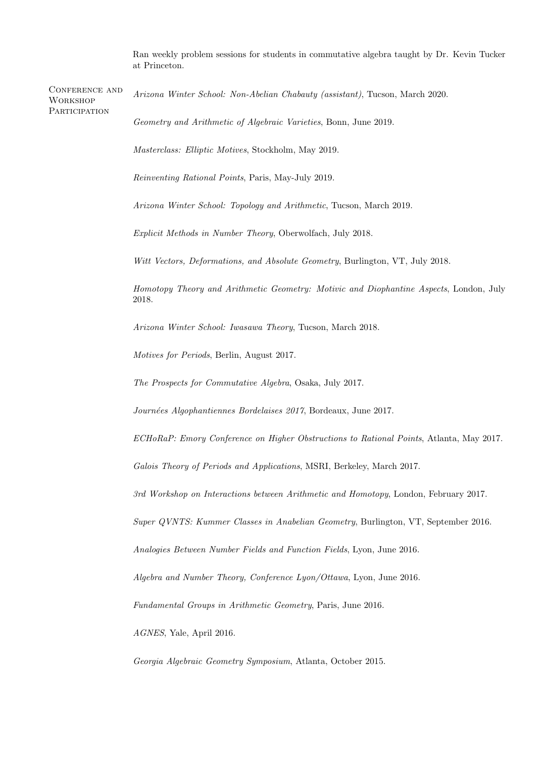Ran weekly problem sessions for students in commutative algebra taught by Dr. Kevin Tucker at Princeton.

| <b>CONFERENCE AND</b><br><b>WORKSHOP</b> | Arizona Winter School: Non-Abelian Chabauty (assistant), Tucson, March 2020.                    |  |  |
|------------------------------------------|-------------------------------------------------------------------------------------------------|--|--|
| PARTICIPATION                            | Geometry and Arithmetic of Algebraic Varieties, Bonn, June 2019.                                |  |  |
|                                          | Masterclass: Elliptic Motives, Stockholm, May 2019.                                             |  |  |
|                                          | Reinventing Rational Points, Paris, May-July 2019.                                              |  |  |
|                                          | Arizona Winter School: Topology and Arithmetic, Tucson, March 2019.                             |  |  |
|                                          | <i>Explicit Methods in Number Theory</i> , Oberwolfach, July 2018.                              |  |  |
|                                          | Witt Vectors, Deformations, and Absolute Geometry, Burlington, VT, July 2018.                   |  |  |
|                                          | Homotopy Theory and Arithmetic Geometry: Motivic and Diophantine Aspects, London, July<br>2018. |  |  |
|                                          | Arizona Winter School: Iwasawa Theory, Tucson, March 2018.                                      |  |  |
|                                          | Motives for Periods, Berlin, August 2017.                                                       |  |  |
|                                          | The Prospects for Commutative Algebra, Osaka, July 2017.                                        |  |  |
|                                          | Journées Algophantiennes Bordelaises 2017, Bordeaux, June 2017.                                 |  |  |
|                                          | ECHoRaP: Emory Conference on Higher Obstructions to Rational Points, Atlanta, May 2017.         |  |  |
|                                          | Galois Theory of Periods and Applications, MSRI, Berkeley, March 2017.                          |  |  |
|                                          | 3rd Workshop on Interactions between Arithmetic and Homotopy, London, February 2017.            |  |  |
|                                          | Super QVNTS: Kummer Classes in Anabelian Geometry, Burlington, VT, September 2016.              |  |  |
|                                          | Analogies Between Number Fields and Function Fields, Lyon, June 2016.                           |  |  |
|                                          | Algebra and Number Theory, Conference Lyon/Ottawa, Lyon, June 2016.                             |  |  |
|                                          | Fundamental Groups in Arithmetic Geometry, Paris, June 2016.                                    |  |  |
|                                          | AGNES, Yale, April 2016.                                                                        |  |  |
|                                          | Georgia Algebraic Geometry Symposium, Atlanta, October 2015.                                    |  |  |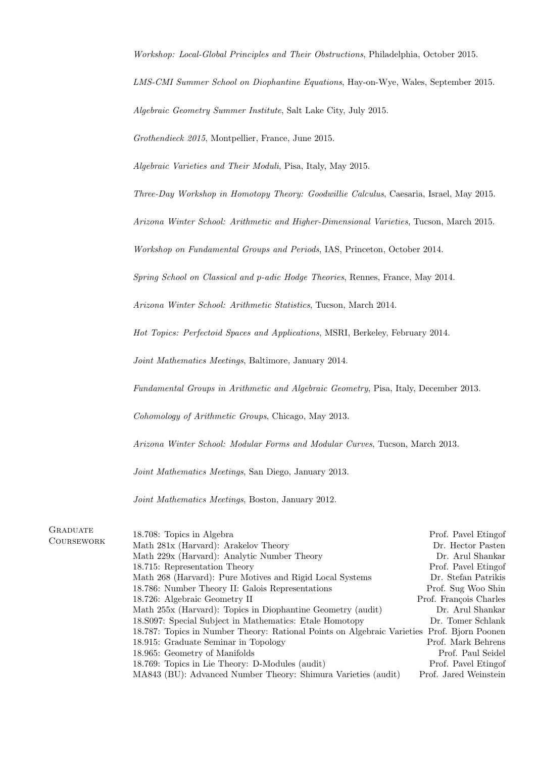Workshop: Local-Global Principles and Their Obstructions, Philadelphia, October 2015.

LMS-CMI Summer School on Diophantine Equations, Hay-on-Wye, Wales, September 2015.

Algebraic Geometry Summer Institute, Salt Lake City, July 2015.

Grothendieck 2015, Montpellier, France, June 2015.

Algebraic Varieties and Their Moduli, Pisa, Italy, May 2015.

Three-Day Workshop in Homotopy Theory: Goodwillie Calculus, Caesaria, Israel, May 2015.

Arizona Winter School: Arithmetic and Higher-Dimensional Varieties, Tucson, March 2015.

Workshop on Fundamental Groups and Periods, IAS, Princeton, October 2014.

Spring School on Classical and p-adic Hodge Theories, Rennes, France, May 2014.

Arizona Winter School: Arithmetic Statistics, Tucson, March 2014.

Hot Topics: Perfectoid Spaces and Applications, MSRI, Berkeley, February 2014.

Joint Mathematics Meetings, Baltimore, January 2014.

Fundamental Groups in Arithmetic and Algebraic Geometry, Pisa, Italy, December 2013.

Cohomology of Arithmetic Groups, Chicago, May 2013.

Arizona Winter School: Modular Forms and Modular Curves, Tucson, March 2013.

Joint Mathematics Meetings, San Diego, January 2013.

Joint Mathematics Meetings, Boston, January 2012.

| GRADUATE   | 18.708: Topics in Algebra                                                                  | Prof. Pavel Etingof    |
|------------|--------------------------------------------------------------------------------------------|------------------------|
| COURSEWORK | Math 281x (Harvard): Arakelov Theory                                                       | Dr. Hector Pasten      |
|            | Math 229x (Harvard): Analytic Number Theory                                                | Dr. Arul Shankar       |
|            | 18.715: Representation Theory                                                              | Prof. Pavel Etingof    |
|            | Math 268 (Harvard): Pure Motives and Rigid Local Systems                                   | Dr. Stefan Patrikis    |
|            | 18.786: Number Theory II: Galois Representations                                           | Prof. Sug Woo Shin     |
|            | 18.726: Algebraic Geometry II                                                              | Prof. François Charles |
|            | Math 255x (Harvard): Topics in Diophantine Geometry (audit)                                | Dr. Arul Shankar       |
|            | 18. S097: Special Subject in Mathematics: Etale Homotopy                                   | Dr. Tomer Schlank      |
|            | 18.787: Topics in Number Theory: Rational Points on Algebraic Varieties Prof. Bjorn Poonen |                        |
|            | 18.915: Graduate Seminar in Topology                                                       | Prof. Mark Behrens     |
|            | 18.965: Geometry of Manifolds                                                              | Prof. Paul Seidel      |
|            | 18.769: Topics in Lie Theory: D-Modules (audit)                                            | Prof. Pavel Etingof    |
|            | MA843 (BU): Advanced Number Theory: Shimura Varieties (audit)                              | Prof. Jared Weinstein  |
|            |                                                                                            |                        |